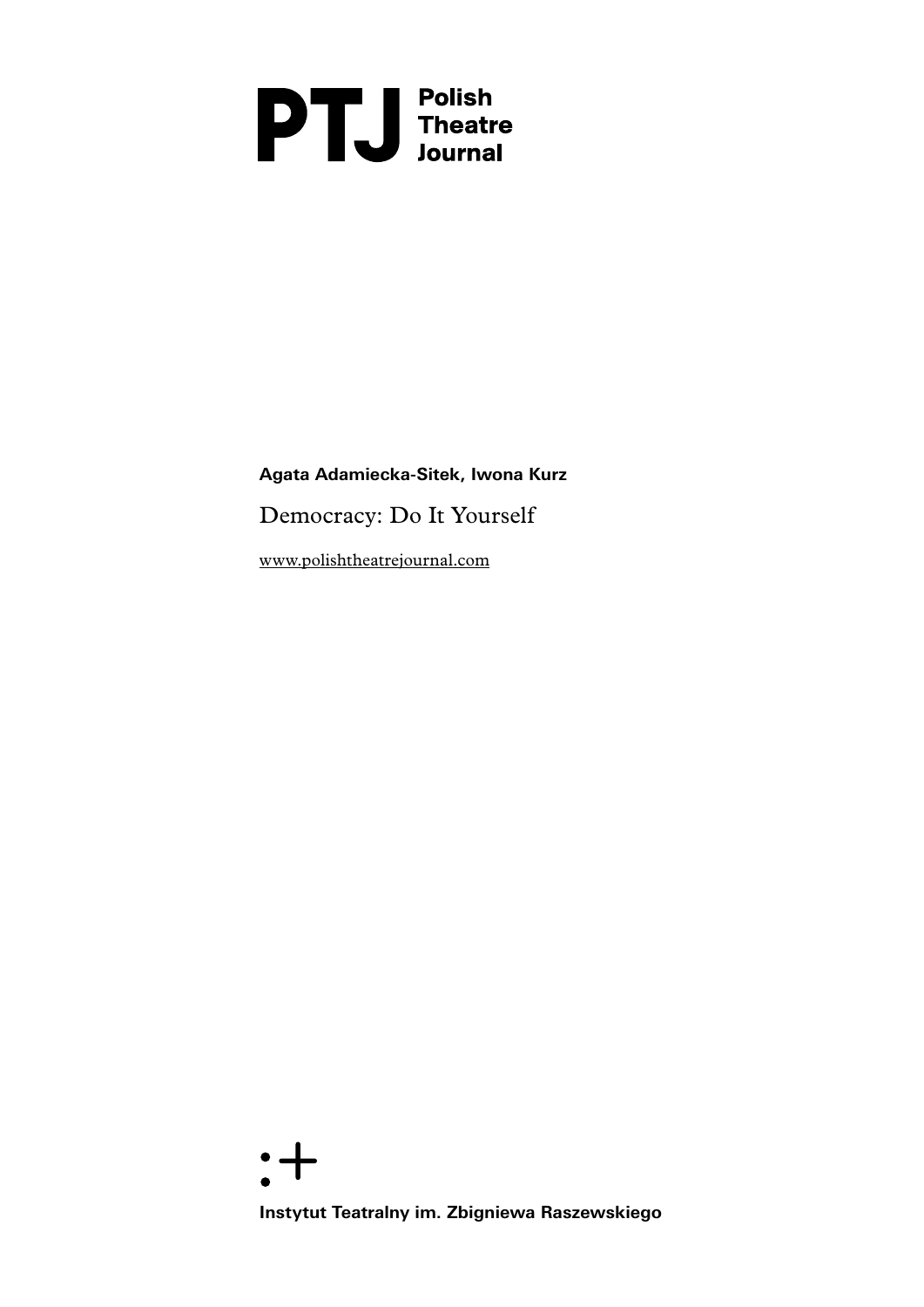# **DTU** Polish<br>Theatre<br>Journal

# **Agata Adamiecka-Sitek, Iwona Kurz**

Democracy: Do It Yourself

[www.polishtheatrejournal.com](http://www.polishtheatrejournal.com/index.php/ptj/article/view/67/208)



**Instytut Teatralny im. Zbigniewa Raszewskiego**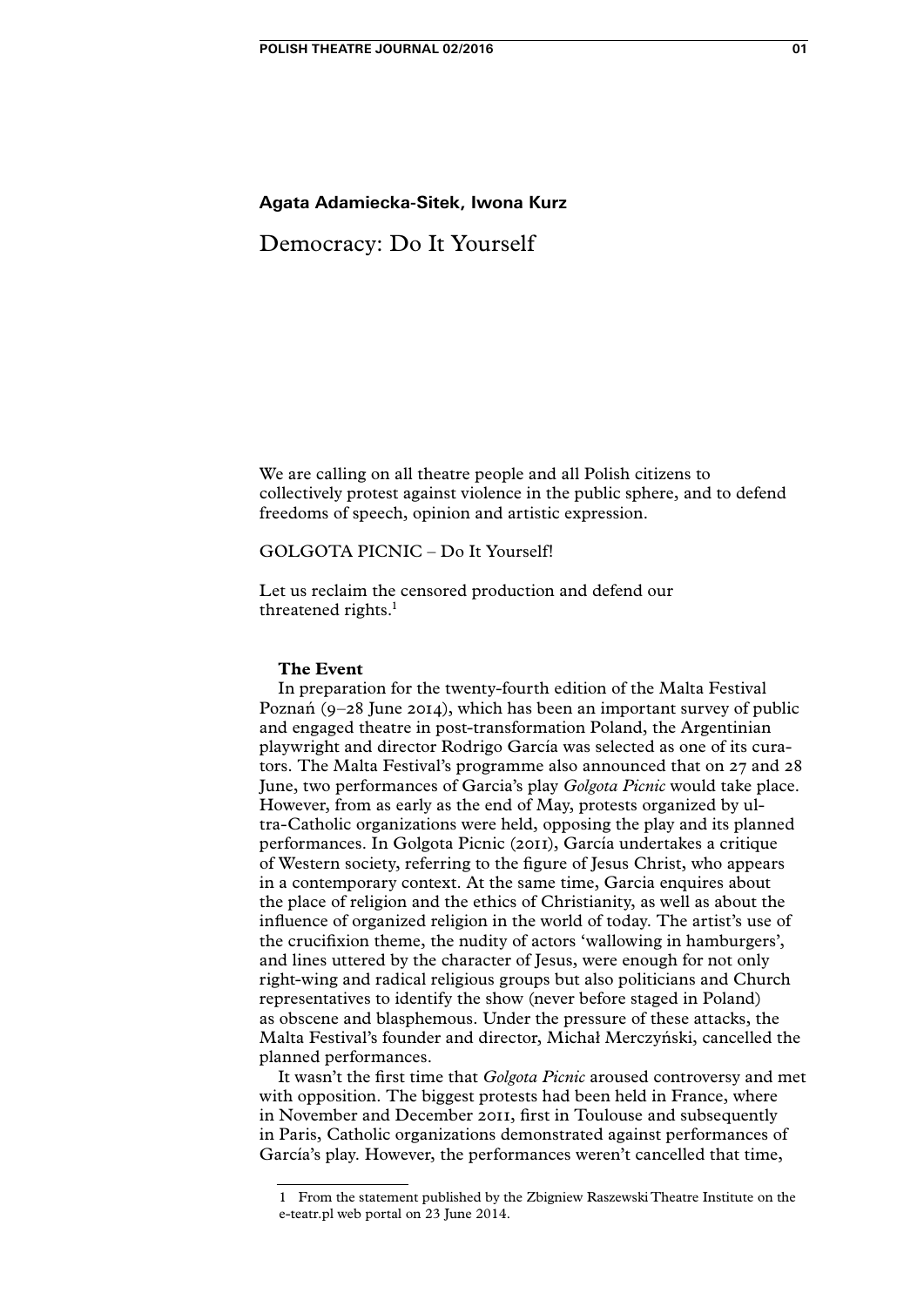# **Agata Adamiecka-Sitek, Iwona Kurz**

# Democracy: Do It Yourself

We are calling on all theatre people and all Polish citizens to collectively protest against violence in the public sphere, and to defend freedoms of speech, opinion and artistic expression.

# GOLGOTA PICNIC – Do It Yourself!

Let us reclaim the censored production and defend our threatened rights.<sup>1</sup>

# **The Event**

In preparation for the twenty-fourth edition of the Malta Festival Poznań (9–28 June 2014), which has been an important survey of public and engaged theatre in post-transformation Poland, the Argentinian playwright and director Rodrigo García was selected as one of its curators. The Malta Festival's programme also announced that on 27 and 28 June, two performances of Garcia's play *Golgota Picnic* would take place. However, from as early as the end of May, protests organized by ultra-Catholic organizations were held, opposing the play and its planned performances. In Golgota Picnic (2011), García undertakes a critique of Western society, referring to the figure of Jesus Christ, who appears in a contemporary context. At the same time, Garcia enquires about the place of religion and the ethics of Christianity, as well as about the influence of organized religion in the world of today. The artist's use of the crucifixion theme, the nudity of actors 'wallowing in hamburgers', and lines uttered by the character of Jesus, were enough for not only right-wing and radical religious groups but also politicians and Church representatives to identify the show (never before staged in Poland) as obscene and blasphemous. Under the pressure of these attacks, the Malta Festival's founder and director, Michał Merczyński, cancelled the planned performances.

It wasn't the first time that *Golgota Picnic* aroused controversy and met with opposition. The biggest protests had been held in France, where in November and December 2011, first in Toulouse and subsequently in Paris, Catholic organizations demonstrated against performances of García's play. However, the performances weren't cancelled that time,

<sup>1</sup> From the statement published by the Zbigniew Raszewski Theatre Institute on the e-teatr.pl web portal on 23 June 2014.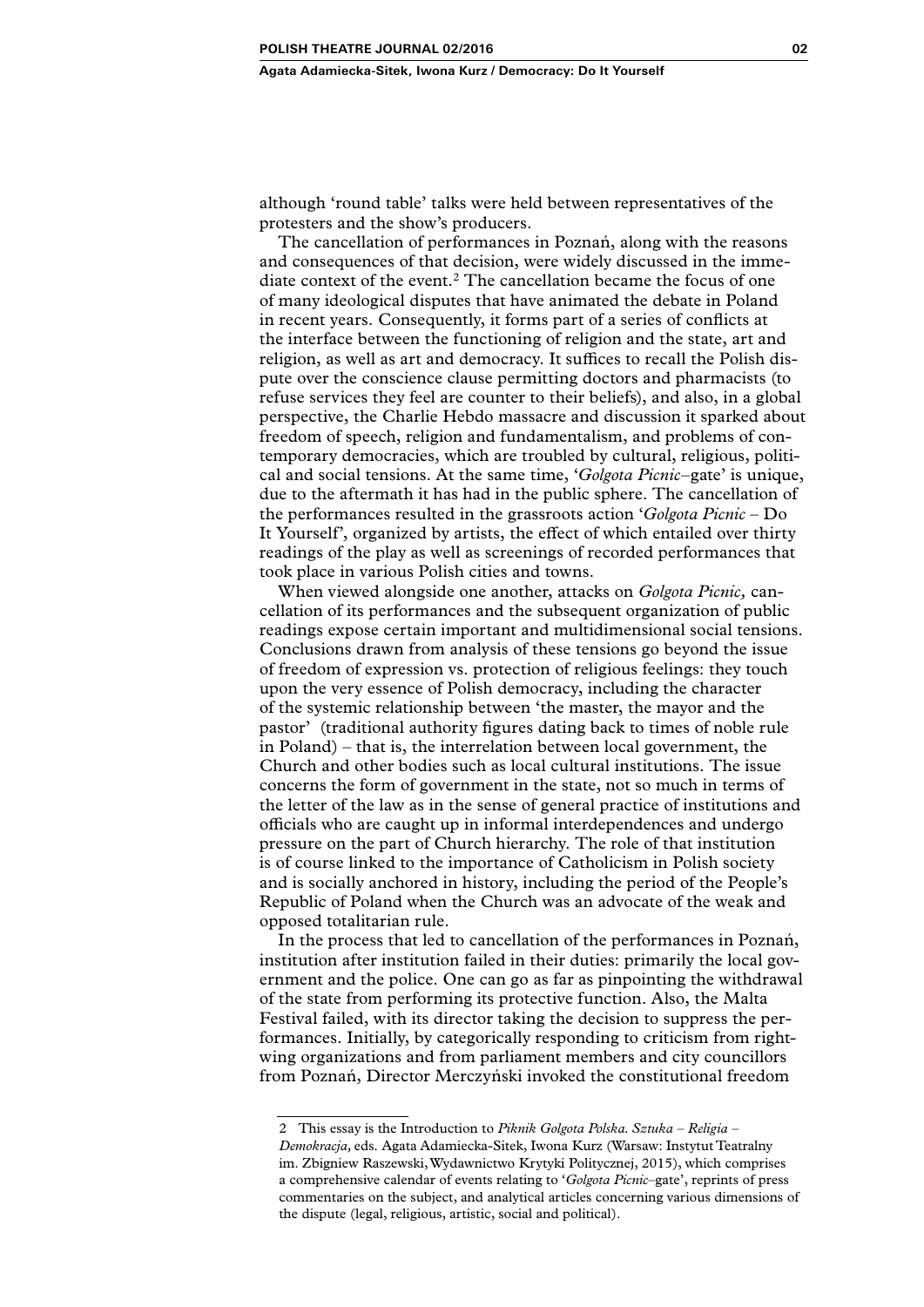although 'round table' talks were held between representatives of the protesters and the show's producers.

The cancellation of performances in Poznań, along with the reasons and consequences of that decision, were widely discussed in the immediate context of the event.<sup>2</sup> The cancellation became the focus of one of many ideological disputes that have animated the debate in Poland in recent years. Consequently, it forms part of a series of conflicts at the interface between the functioning of religion and the state, art and religion, as well as art and democracy. It suffices to recall the Polish dispute over the conscience clause permitting doctors and pharmacists (to refuse services they feel are counter to their beliefs), and also, in a global perspective, the Charlie Hebdo massacre and discussion it sparked about freedom of speech, religion and fundamentalism, and problems of contemporary democracies, which are troubled by cultural, religious, political and social tensions. At the same time, '*Golgota Picnic*–gate' is unique, due to the aftermath it has had in the public sphere. The cancellation of the performances resulted in the grassroots action '*Golgota Picnic* – Do It Yourself', organized by artists, the effect of which entailed over thirty readings of the play as well as screenings of recorded performances that took place in various Polish cities and towns.

When viewed alongside one another, attacks on *Golgota Picnic,* cancellation of its performances and the subsequent organization of public readings expose certain important and multidimensional social tensions. Conclusions drawn from analysis of these tensions go beyond the issue of freedom of expression vs. protection of religious feelings: they touch upon the very essence of Polish democracy, including the character of the systemic relationship between 'the master, the mayor and the pastor' (traditional authority figures dating back to times of noble rule in Poland) – that is, the interrelation between local government, the Church and other bodies such as local cultural institutions. The issue concerns the form of government in the state, not so much in terms of the letter of the law as in the sense of general practice of institutions and officials who are caught up in informal interdependences and undergo pressure on the part of Church hierarchy. The role of that institution is of course linked to the importance of Catholicism in Polish society and is socially anchored in history, including the period of the People's Republic of Poland when the Church was an advocate of the weak and opposed totalitarian rule.

In the process that led to cancellation of the performances in Poznań, institution after institution failed in their duties: primarily the local government and the police. One can go as far as pinpointing the withdrawal of the state from performing its protective function. Also, the Malta Festival failed, with its director taking the decision to suppress the performances. Initially, by categorically responding to criticism from rightwing organizations and from parliament members and city councillors from Poznań, Director Merczyński invoked the constitutional freedom

<sup>2</sup> This essay is the Introduction to *Piknik Golgota Polska. Sztuka – Religia – Demokracja,* eds. Agata Adamiecka-Sitek, Iwona Kurz (Warsaw: Instytut Teatralny im. Zbigniew Raszewski, Wydawnictwo Krytyki Politycznej, 2015), which comprises a comprehensive calendar of events relating to '*Golgota Picnic*–gate', reprints of press commentaries on the subject, and analytical articles concerning various dimensions of the dispute (legal, religious, artistic, social and political).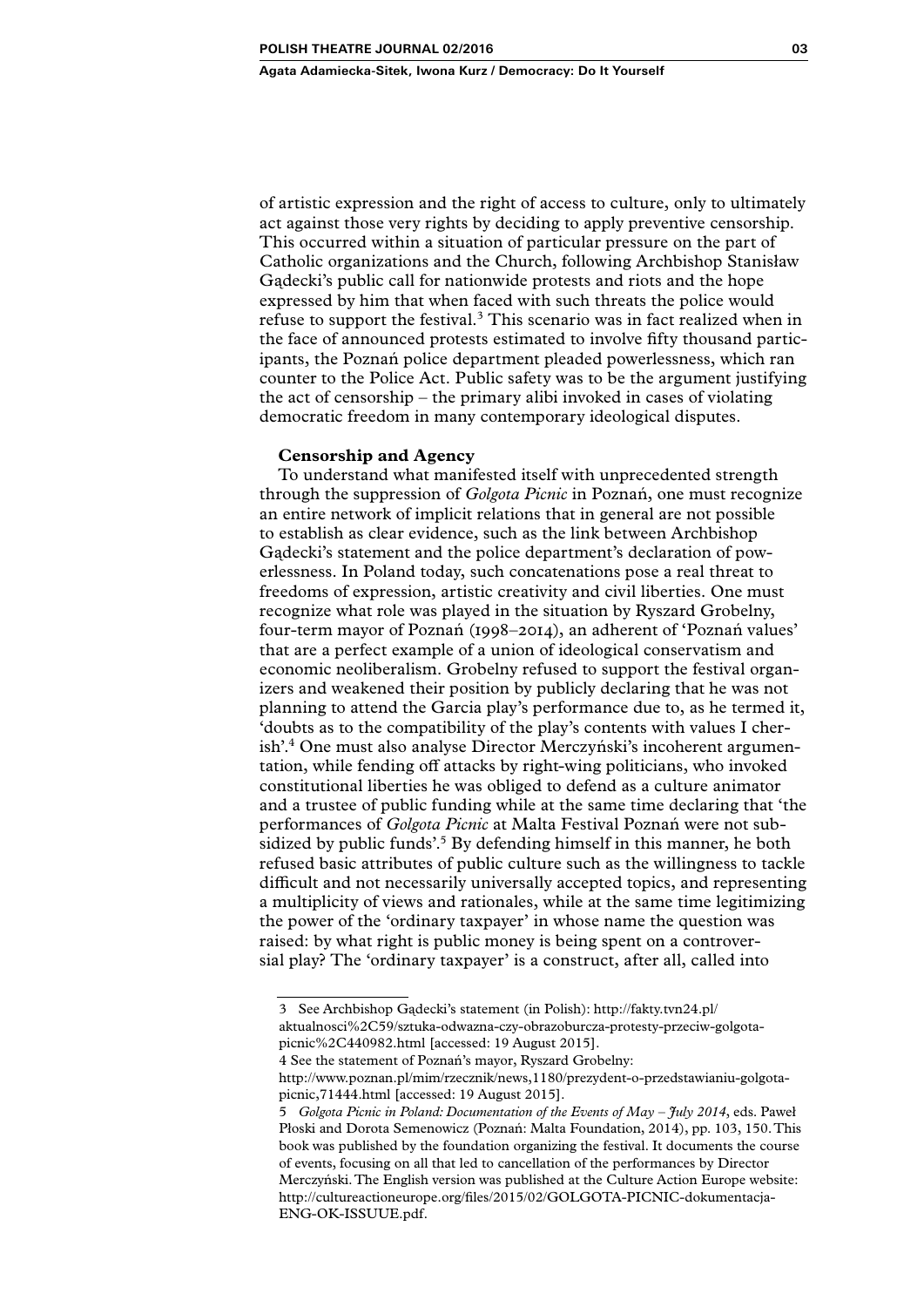of artistic expression and the right of access to culture, only to ultimately act against those very rights by deciding to apply preventive censorship. This occurred within a situation of particular pressure on the part of Catholic organizations and the Church, following Archbishop Stanisław Gądecki's public call for nationwide protests and riots and the hope expressed by him that when faced with such threats the police would refuse to support the festival.<sup>3</sup> This scenario was in fact realized when in the face of announced protests estimated to involve fifty thousand participants, the Poznań police department pleaded powerlessness, which ran counter to the Police Act. Public safety was to be the argument justifying the act of censorship – the primary alibi invoked in cases of violating democratic freedom in many contemporary ideological disputes.

# **Censorship and Agency**

To understand what manifested itself with unprecedented strength through the suppression of *Golgota Picnic* in Poznań, one must recognize an entire network of implicit relations that in general are not possible to establish as clear evidence, such as the link between Archbishop Gądecki's statement and the police department's declaration of powerlessness. In Poland today, such concatenations pose a real threat to freedoms of expression, artistic creativity and civil liberties. One must recognize what role was played in the situation by Ryszard Grobelny, four-term mayor of Poznań (1998–2014), an adherent of 'Poznań values' that are a perfect example of a union of ideological conservatism and economic neoliberalism. Grobelny refused to support the festival organizers and weakened their position by publicly declaring that he was not planning to attend the Garcia play's performance due to, as he termed it, 'doubts as to the compatibility of the play's contents with values I cherish'.4 One must also analyse Director Merczyński's incoherent argumentation, while fending off attacks by right-wing politicians, who invoked constitutional liberties he was obliged to defend as a culture animator and a trustee of public funding while at the same time declaring that 'the performances of *Golgota Picnic* at Malta Festival Poznań were not subsidized by public funds<sup>'.5</sup> By defending himself in this manner, he both refused basic attributes of public culture such as the willingness to tackle difficult and not necessarily universally accepted topics, and representing a multiplicity of views and rationales, while at the same time legitimizing the power of the 'ordinary taxpayer' in whose name the question was raised: by what right is public money is being spent on a controversial play? The 'ordinary taxpayer' is a construct, after all, called into

<sup>3</sup> See Archbishop Gądecki's statement (in Polish): http://fakty.tvn24.pl/ aktualnosci%2C59/sztuka-odwazna-czy-obrazoburcza-protesty-przeciw-golgotapicnic%2C440982.html [accessed: 19 August 2015].

<sup>4</sup> See the statement of Poznań's mayor, Ryszard Grobelny:

[http://www.poznan.pl/mim/rzecznik/news,1180/prezydent-o-przedstawianiu-golgota](http://www.poznan.pl/mim/rzecznik/news,1180/prezydent-o-przedstawianiu-golgota-picnic,71444.html)[picnic,71444.html](http://www.poznan.pl/mim/rzecznik/news,1180/prezydent-o-przedstawianiu-golgota-picnic,71444.html) [accessed: 19 August 2015].

<sup>5</sup> *Golgota Picnic in Poland: Documentation of the Events of May – July 2014*, eds. Paweł Płoski and Dorota Semenowicz (Poznań: Malta Foundation, 2014), pp. 103, 150. This book was published by the foundation organizing the festival. It documents the course of events, focusing on all that led to cancellation of the performances by Director Merczyński. The English version was published at the Culture Action Europe website: http://cultureactioneurope.org/files/2015/02/GOLGOTA-PICNIC-dokumentacja-ENG-OK-ISSUUE.pdf.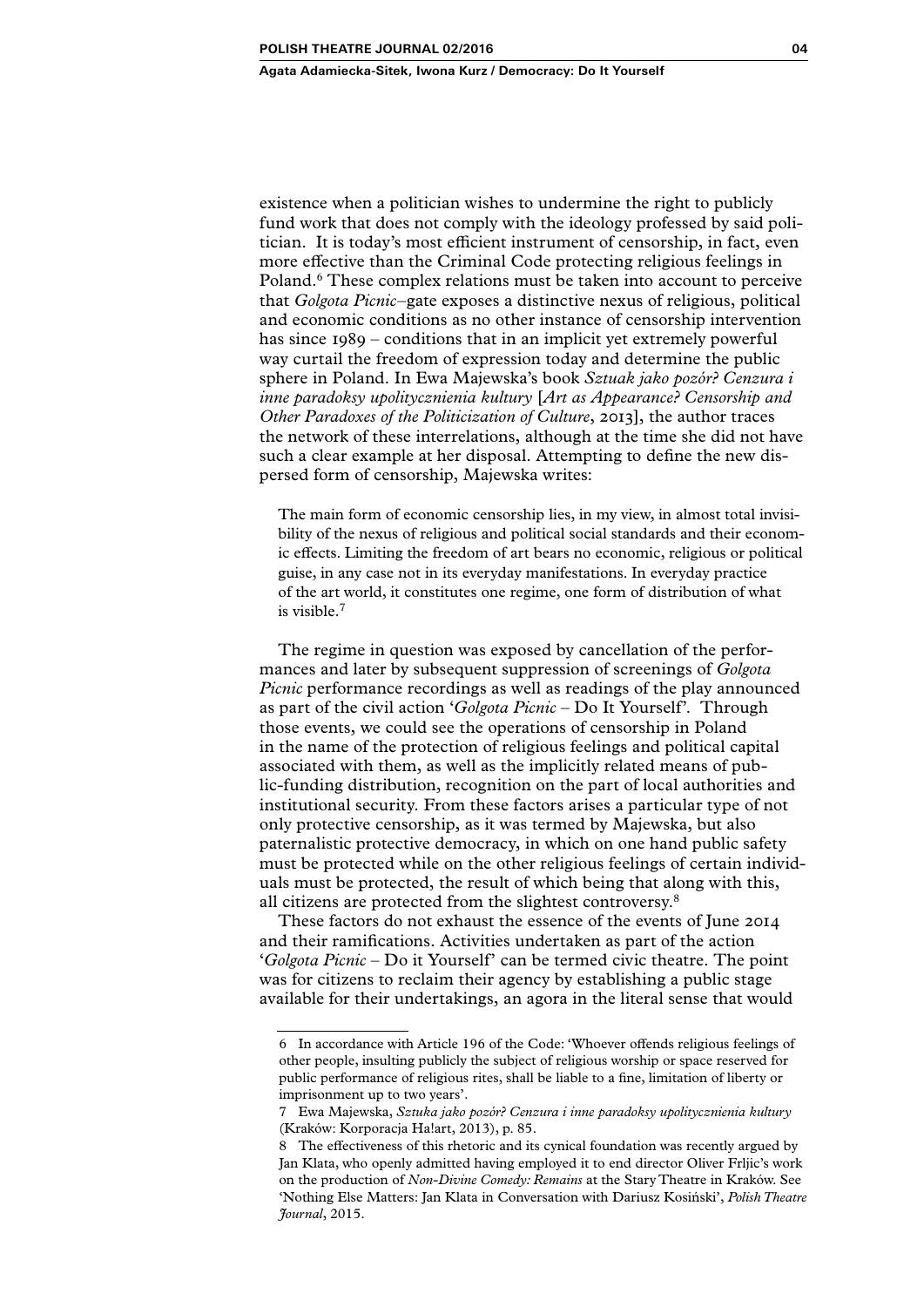#### **Agata Adamiecka-Sitek, Iwona Kurz / Democracy: Do It Yourself**

existence when a politician wishes to undermine the right to publicly fund work that does not comply with the ideology professed by said politician. It is today's most efficient instrument of censorship, in fact, even more effective than the Criminal Code protecting religious feelings in Poland.<sup>6</sup> These complex relations must be taken into account to perceive that *Golgota Picnic*–gate exposes a distinctive nexus of religious, political and economic conditions as no other instance of censorship intervention has since 1989 – conditions that in an implicit yet extremely powerful way curtail the freedom of expression today and determine the public sphere in Poland. In Ewa Majewska's book *Sztuak jako pozór? Cenzura i inne paradoksy upolitycznienia kultury* [*Art as Appearance? Censorship and Other Paradoxes of the Politicization of Culture*, 2013], the author traces the network of these interrelations, although at the time she did not have such a clear example at her disposal. Attempting to define the new dispersed form of censorship, Majewska writes:

The main form of economic censorship lies, in my view, in almost total invisibility of the nexus of religious and political social standards and their economic effects. Limiting the freedom of art bears no economic, religious or political guise, in any case not in its everyday manifestations. In everyday practice of the art world, it constitutes one regime, one form of distribution of what is visible.7

The regime in question was exposed by cancellation of the performances and later by subsequent suppression of screenings of *Golgota Picnic* performance recordings as well as readings of the play announced as part of the civil action '*Golgota Picnic* – Do It Yourself'. Through those events, we could see the operations of censorship in Poland in the name of the protection of religious feelings and political capital associated with them, as well as the implicitly related means of public-funding distribution, recognition on the part of local authorities and institutional security. From these factors arises a particular type of not only protective censorship, as it was termed by Majewska, but also paternalistic protective democracy, in which on one hand public safety must be protected while on the other religious feelings of certain individuals must be protected, the result of which being that along with this, all citizens are protected from the slightest controversy.8

These factors do not exhaust the essence of the events of June 2014 and their ramifications. Activities undertaken as part of the action '*Golgota Picnic* – Do it Yourself' can be termed civic theatre. The point was for citizens to reclaim their agency by establishing a public stage available for their undertakings, an agora in the literal sense that would

<sup>6</sup> In accordance with Article 196 of the Code: 'Whoever offends religious feelings of other people, insulting publicly the subject of religious worship or space reserved for public performance of religious rites, shall be liable to a fine, limitation of liberty or imprisonment up to two years'.

<sup>7</sup> Ewa Majewska, *Sztuka jako pozór? Cenzura i inne paradoksy upolitycznienia kultury*  (Kraków: Korporacja Ha!art, 2013), p. 85.

<sup>8</sup> The effectiveness of this rhetoric and its cynical foundation was recently argued by Jan Klata, who openly admitted having employed it to end director Oliver Frljic's work on the production of *Non-Divine Comedy: Remains* at the Stary Theatre in Kraków. See 'Nothing Else Matters: Jan Klata in Conversation with Dariusz Kosiński', *Polish Theatre Journal*, 2015.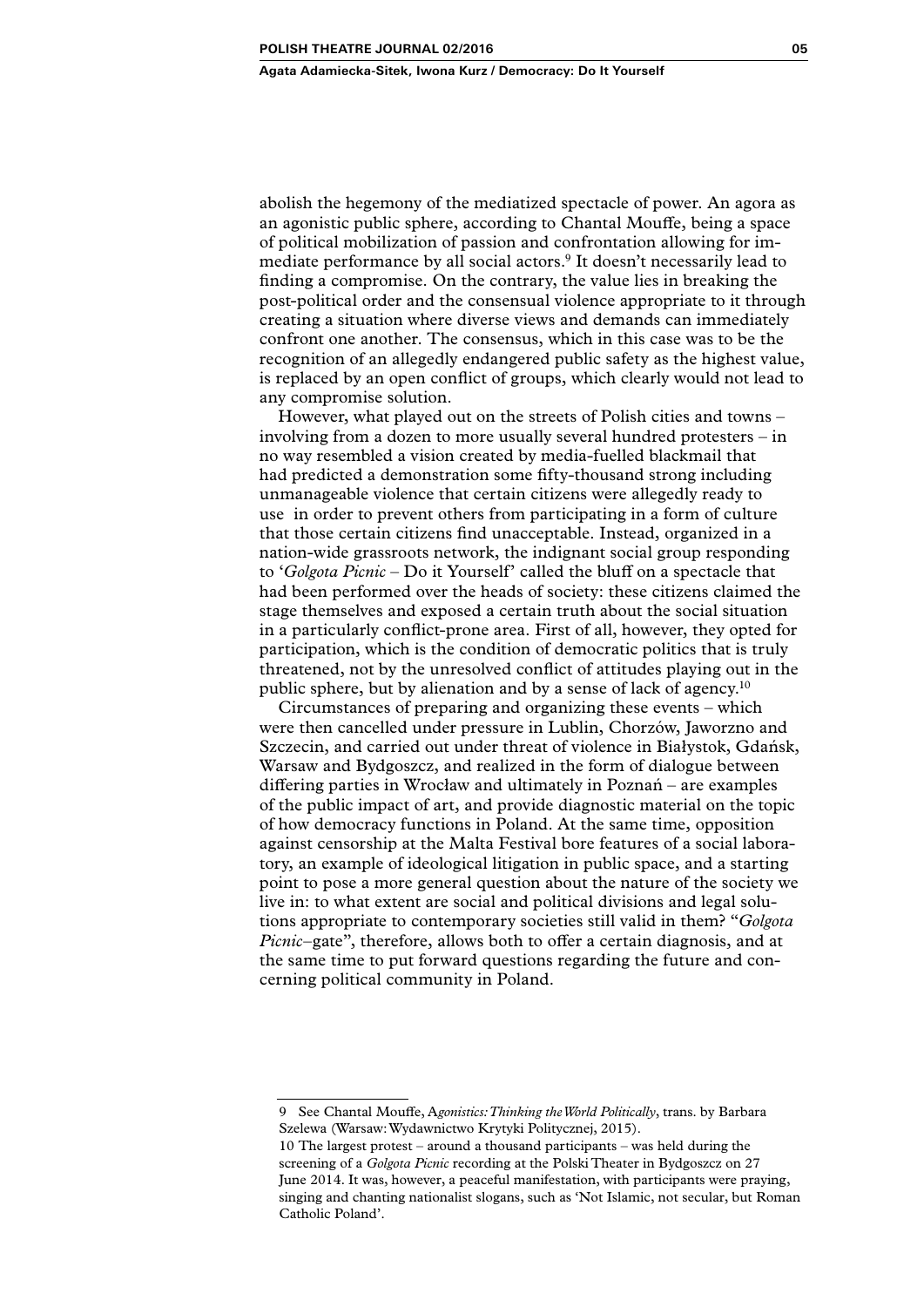abolish the hegemony of the mediatized spectacle of power. An agora as an agonistic public sphere, according to Chantal Mouffe, being a space of political mobilization of passion and confrontation allowing for immediate performance by all social actors.<sup>9</sup> It doesn't necessarily lead to finding a compromise. On the contrary, the value lies in breaking the post-political order and the consensual violence appropriate to it through creating a situation where diverse views and demands can immediately confront one another. The consensus, which in this case was to be the recognition of an allegedly endangered public safety as the highest value, is replaced by an open conflict of groups, which clearly would not lead to any compromise solution.

However, what played out on the streets of Polish cities and towns – involving from a dozen to more usually several hundred protesters – in no way resembled a vision created by media-fuelled blackmail that had predicted a demonstration some fifty-thousand strong including unmanageable violence that certain citizens were allegedly ready to use in order to prevent others from participating in a form of culture that those certain citizens find unacceptable. Instead, organized in a nation-wide grassroots network, the indignant social group responding to '*Golgota Picnic* – Do it Yourself' called the bluff on a spectacle that had been performed over the heads of society: these citizens claimed the stage themselves and exposed a certain truth about the social situation in a particularly conflict-prone area. First of all, however, they opted for participation, which is the condition of democratic politics that is truly threatened, not by the unresolved conflict of attitudes playing out in the public sphere, but by alienation and by a sense of lack of agency.10

Circumstances of preparing and organizing these events – which were then cancelled under pressure in Lublin, Chorzów, Jaworzno and Szczecin, and carried out under threat of violence in Białystok, Gdańsk, Warsaw and Bydgoszcz, and realized in the form of dialogue between differing parties in Wrocław and ultimately in Poznań – are examples of the public impact of art, and provide diagnostic material on the topic of how democracy functions in Poland. At the same time, opposition against censorship at the Malta Festival bore features of a social laboratory, an example of ideological litigation in public space, and a starting point to pose a more general question about the nature of the society we live in: to what extent are social and political divisions and legal solutions appropriate to contemporary societies still valid in them? "*Golgota Picnic*–gate", therefore, allows both to offer a certain diagnosis, and at the same time to put forward questions regarding the future and concerning political community in Poland.

<sup>9</sup> See Chantal Mouffe, A*gonistics: Thinking the World Politically*, trans. by Barbara Szelewa (Warsaw: Wydawnictwo Krytyki Politycznej, 2015).

<sup>10</sup> The largest protest – around a thousand participants – was held during the screening of a *Golgota Picnic* recording at the Polski Theater in Bydgoszcz on 27 June 2014. It was, however, a peaceful manifestation, with participants were praying, singing and chanting nationalist slogans, such as 'Not Islamic, not secular, but Roman Catholic Poland'.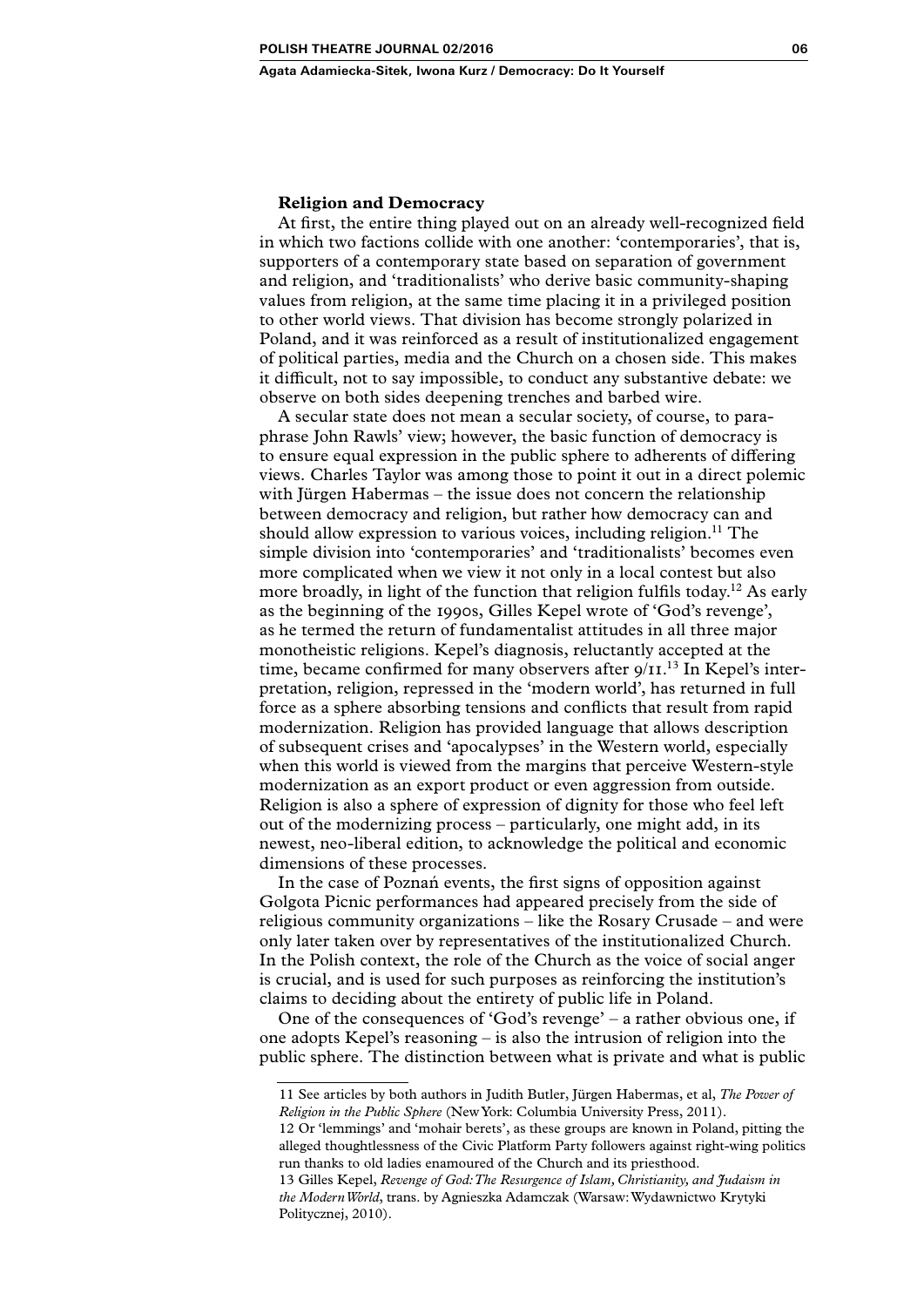### **Religion and Democracy**

At first, the entire thing played out on an already well-recognized field in which two factions collide with one another: 'contemporaries', that is, supporters of a contemporary state based on separation of government and religion, and 'traditionalists' who derive basic community-shaping values from religion, at the same time placing it in a privileged position to other world views. That division has become strongly polarized in Poland, and it was reinforced as a result of institutionalized engagement of political parties, media and the Church on a chosen side. This makes it difficult, not to say impossible, to conduct any substantive debate: we observe on both sides deepening trenches and barbed wire.

A secular state does not mean a secular society, of course, to paraphrase John Rawls' view; however, the basic function of democracy is to ensure equal expression in the public sphere to adherents of differing views. Charles Taylor was among those to point it out in a direct polemic with Jürgen Habermas – the issue does not concern the relationship between democracy and religion, but rather how democracy can and should allow expression to various voices, including religion.<sup>11</sup> The simple division into 'contemporaries' and 'traditionalists' becomes even more complicated when we view it not only in a local contest but also more broadly, in light of the function that religion fulfils today.<sup>12</sup> As early as the beginning of the 1990s, Gilles Kepel wrote of 'God's revenge', as he termed the return of fundamentalist attitudes in all three major monotheistic religions. Kepel's diagnosis, reluctantly accepted at the time, became confirmed for many observers after 9/11.<sup>13</sup> In Kepel's interpretation, religion, repressed in the 'modern world', has returned in full force as a sphere absorbing tensions and conflicts that result from rapid modernization. Religion has provided language that allows description of subsequent crises and 'apocalypses' in the Western world, especially when this world is viewed from the margins that perceive Western-style modernization as an export product or even aggression from outside. Religion is also a sphere of expression of dignity for those who feel left out of the modernizing process – particularly, one might add, in its newest, neo-liberal edition, to acknowledge the political and economic dimensions of these processes.

In the case of Poznań events, the first signs of opposition against Golgota Picnic performances had appeared precisely from the side of religious community organizations – like the Rosary Crusade – and were only later taken over by representatives of the institutionalized Church. In the Polish context, the role of the Church as the voice of social anger is crucial, and is used for such purposes as reinforcing the institution's claims to deciding about the entirety of public life in Poland.

One of the consequences of 'God's revenge' – a rather obvious one, if one adopts Kepel's reasoning – is also the intrusion of religion into the public sphere. The distinction between what is private and what is public

<sup>11</sup> See articles by both authors in Judith Butler, Jürgen Habermas, et al, *The Power of Religion in the Public Sphere* (New York: Columbia University Press, 2011).

<sup>12</sup> Or 'lemmings' and 'mohair berets', as these groups are known in Poland, pitting the alleged thoughtlessness of the Civic Platform Party followers against right-wing politics run thanks to old ladies enamoured of the Church and its priesthood.

<sup>13</sup> Gilles Kepel, *Revenge of God: The Resurgence of Islam, Christianity, and Judaism in the Modern World*, trans. by Agnieszka Adamczak (Warsaw: Wydawnictwo Krytyki Politycznej, 2010).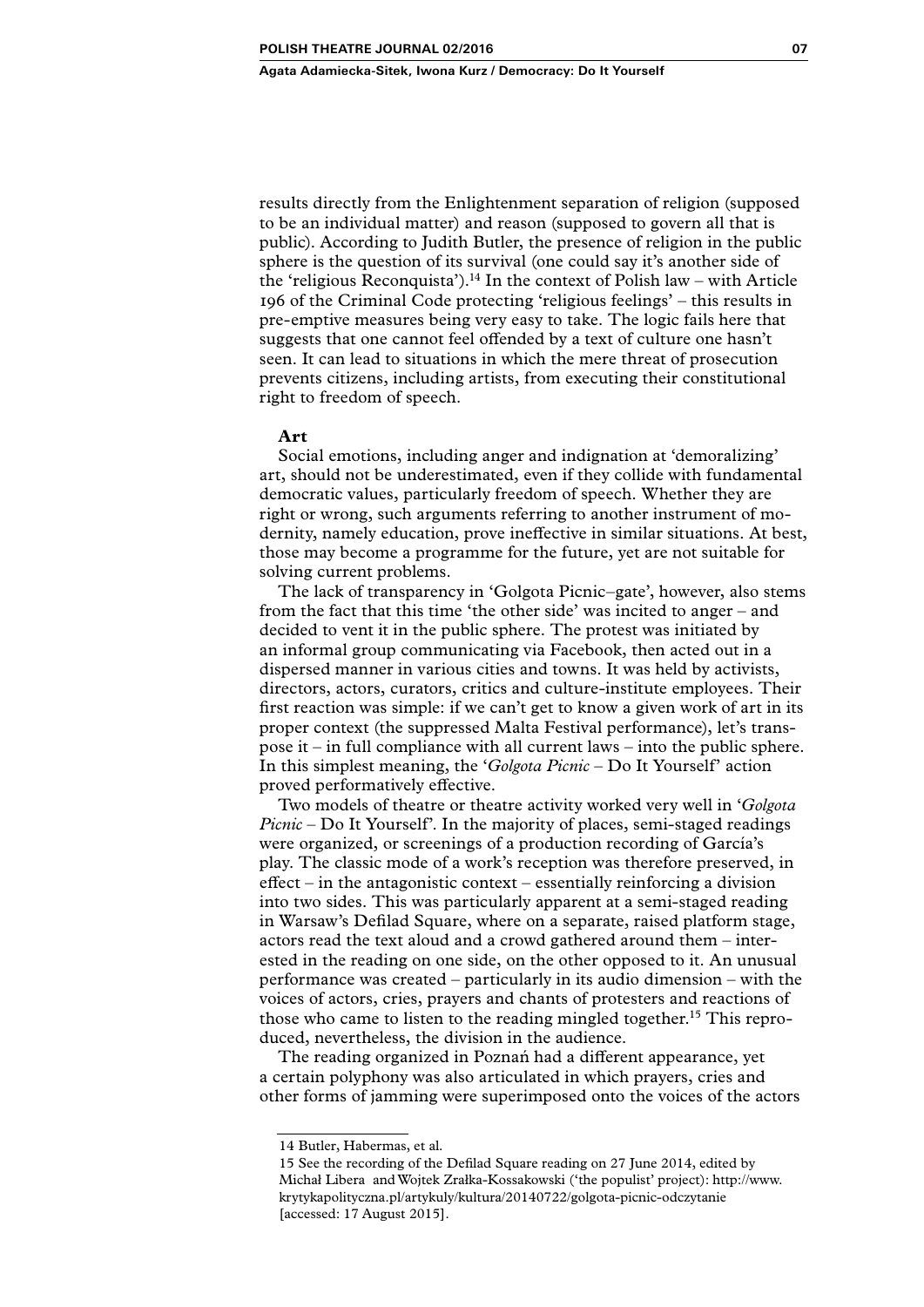results directly from the Enlightenment separation of religion (supposed to be an individual matter) and reason (supposed to govern all that is public). According to Judith Butler, the presence of religion in the public sphere is the question of its survival (one could say it's another side of the 'religious Reconquista').<sup>14</sup> In the context of Polish law – with Article 196 of the Criminal Code protecting 'religious feelings' – this results in pre-emptive measures being very easy to take. The logic fails here that suggests that one cannot feel offended by a text of culture one hasn't seen. It can lead to situations in which the mere threat of prosecution prevents citizens, including artists, from executing their constitutional right to freedom of speech.

## **Art**

Social emotions, including anger and indignation at 'demoralizing' art, should not be underestimated, even if they collide with fundamental democratic values, particularly freedom of speech. Whether they are right or wrong, such arguments referring to another instrument of modernity, namely education, prove ineffective in similar situations. At best, those may become a programme for the future, yet are not suitable for solving current problems.

The lack of transparency in 'Golgota Picnic–gate', however, also stems from the fact that this time 'the other side' was incited to anger – and decided to vent it in the public sphere. The protest was initiated by an informal group communicating via Facebook, then acted out in a dispersed manner in various cities and towns. It was held by activists, directors, actors, curators, critics and culture-institute employees. Their first reaction was simple: if we can't get to know a given work of art in its proper context (the suppressed Malta Festival performance), let's transpose it – in full compliance with all current laws – into the public sphere. In this simplest meaning, the '*Golgota Picnic* – Do It Yourself' action proved performatively effective.

Two models of theatre or theatre activity worked very well in '*Golgota Picnic* – Do It Yourself'. In the majority of places, semi-staged readings were organized, or screenings of a production recording of García's play. The classic mode of a work's reception was therefore preserved, in effect – in the antagonistic context – essentially reinforcing a division into two sides. This was particularly apparent at a semi-staged reading in Warsaw's Defilad Square, where on a separate, raised platform stage, actors read the text aloud and a crowd gathered around them – interested in the reading on one side, on the other opposed to it. An unusual performance was created – particularly in its audio dimension – with the voices of actors, cries, prayers and chants of protesters and reactions of those who came to listen to the reading mingled together.15 This reproduced, nevertheless, the division in the audience.

The reading organized in Poznań had a different appearance, yet a certain polyphony was also articulated in which prayers, cries and other forms of jamming were superimposed onto the voices of the actors

<sup>14</sup> Butler, Habermas, et al*.*

<sup>15</sup> See the recording of the Defilad Square reading on 27 June 2014, edited by Michał Libera and Wojtek Zrałka-Kossakowski ('the populist' project): [http://www.](http://www.krytykapolityczna.pl/artykuly/kultura/20140722/golgota-picnic-odczytanie) [krytykapolityczna.pl/artykuly/kultura/20140722/golgota-picnic-odczytanie](http://www.krytykapolityczna.pl/artykuly/kultura/20140722/golgota-picnic-odczytanie) [accessed: 17 August 2015].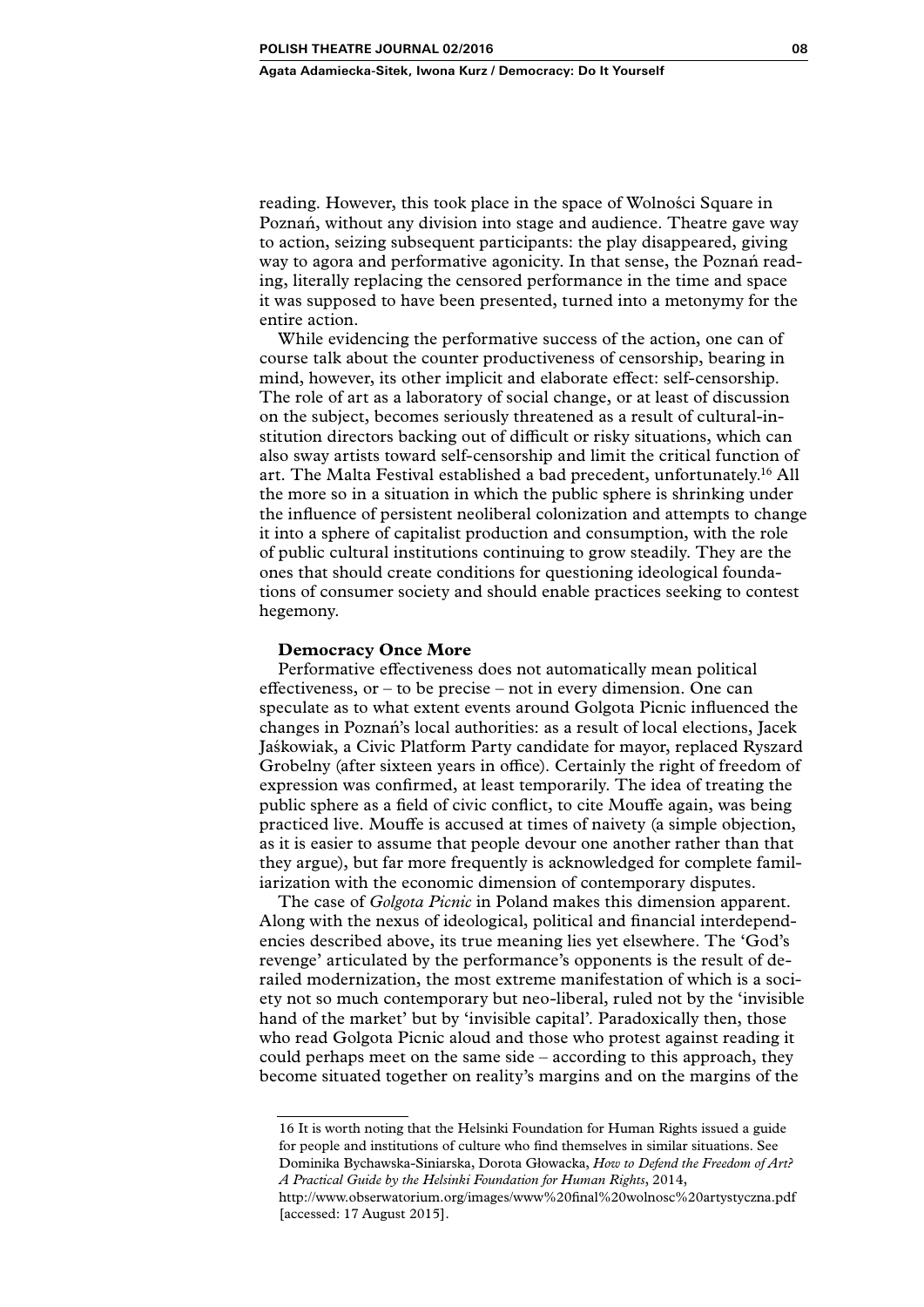reading. However, this took place in the space of Wolności Square in Poznań, without any division into stage and audience. Theatre gave way to action, seizing subsequent participants: the play disappeared, giving way to agora and performative agonicity. In that sense, the Poznań reading, literally replacing the censored performance in the time and space it was supposed to have been presented, turned into a metonymy for the entire action.

While evidencing the performative success of the action, one can of course talk about the counter productiveness of censorship, bearing in mind, however, its other implicit and elaborate effect: self-censorship. The role of art as a laboratory of social change, or at least of discussion on the subject, becomes seriously threatened as a result of cultural-institution directors backing out of difficult or risky situations, which can also sway artists toward self-censorship and limit the critical function of art. The Malta Festival established a bad precedent, unfortunately.<sup>16</sup> All the more so in a situation in which the public sphere is shrinking under the influence of persistent neoliberal colonization and attempts to change it into a sphere of capitalist production and consumption, with the role of public cultural institutions continuing to grow steadily. They are the ones that should create conditions for questioning ideological foundations of consumer society and should enable practices seeking to contest hegemony.

#### **Democracy Once More**

Performative effectiveness does not automatically mean political effectiveness, or – to be precise – not in every dimension. One can speculate as to what extent events around Golgota Picnic influenced the changes in Poznań's local authorities: as a result of local elections, Jacek Jaśkowiak, a Civic Platform Party candidate for mayor, replaced Ryszard Grobelny (after sixteen years in office). Certainly the right of freedom of expression was confirmed, at least temporarily. The idea of treating the public sphere as a field of civic conflict, to cite Mouffe again, was being practiced live. Mouffe is accused at times of naivety (a simple objection, as it is easier to assume that people devour one another rather than that they argue), but far more frequently is acknowledged for complete familiarization with the economic dimension of contemporary disputes.

The case of *Golgota Picnic* in Poland makes this dimension apparent. Along with the nexus of ideological, political and financial interdependencies described above, its true meaning lies yet elsewhere. The 'God's revenge' articulated by the performance's opponents is the result of derailed modernization, the most extreme manifestation of which is a society not so much contemporary but neo-liberal, ruled not by the 'invisible hand of the market' but by 'invisible capital'. Paradoxically then, those who read Golgota Picnic aloud and those who protest against reading it could perhaps meet on the same side – according to this approach, they become situated together on reality's margins and on the margins of the

16 It is worth noting that the Helsinki Foundation for Human Rights issued a guide for people and institutions of culture who find themselves in similar situations. See Dominika Bychawska-Siniarska, Dorota Głowacka, *How to Defend the Freedom of Art? A Practical Guide by the Helsinki Foundation for Human Rights*, 2014,

[http://www.obserwatorium.org/images/www%20final%20wolnosc%20artystyczna.pdf](http://www.obserwatorium.org/images/www final wolnosc artystyczna.pdf) [accessed: 17 August 2015].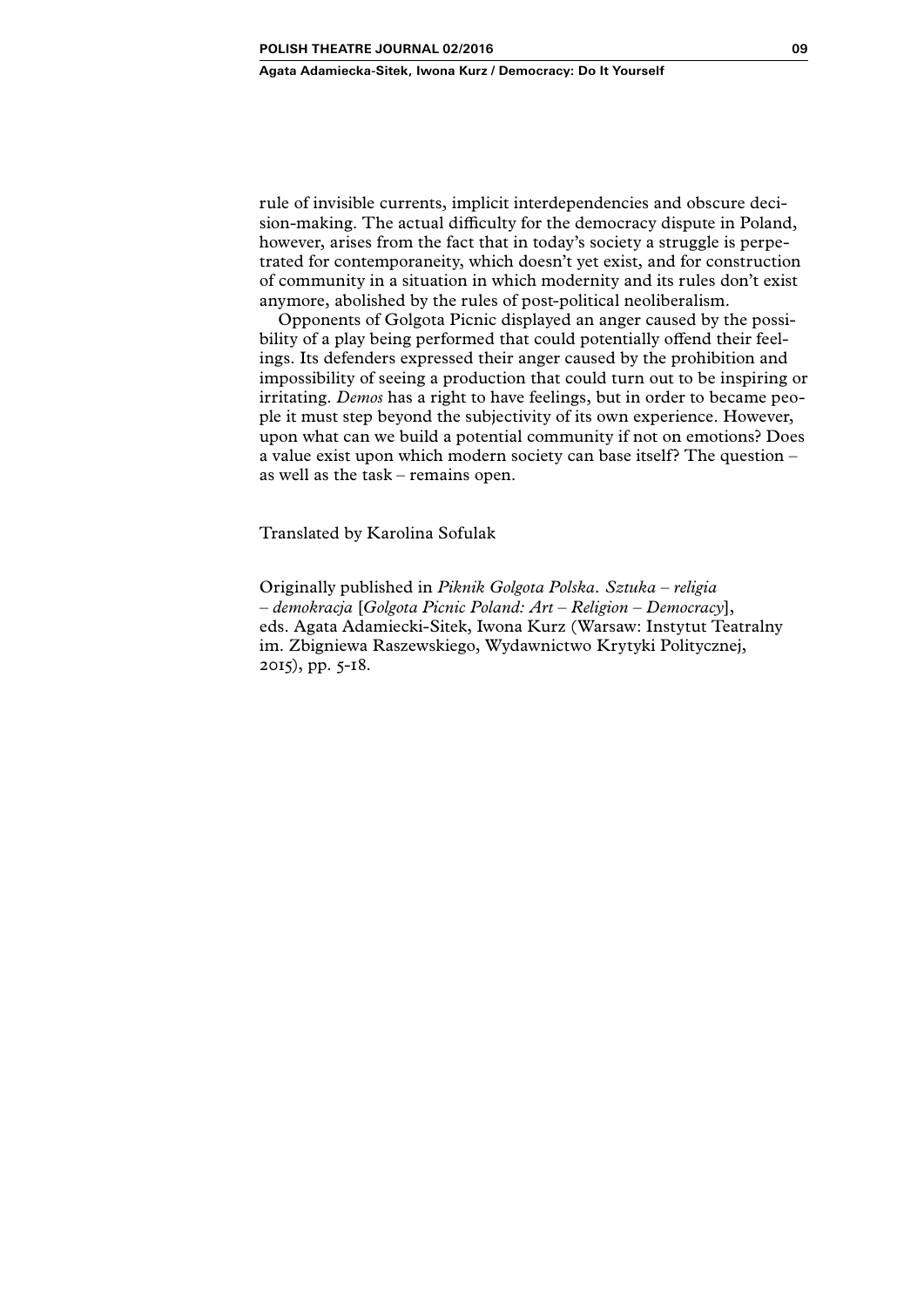rule of invisible currents, implicit interdependencies and obscure decision-making. The actual difficulty for the democracy dispute in Poland, however, arises from the fact that in today's society a struggle is perpetrated for contemporaneity, which doesn't yet exist, and for construction of community in a situation in which modernity and its rules don't exist anymore, abolished by the rules of post-political neoliberalism.

Opponents of Golgota Picnic displayed an anger caused by the possibility of a play being performed that could potentially offend their feelings. Its defenders expressed their anger caused by the prohibition and impossibility of seeing a production that could turn out to be inspiring or irritating. *Demos* has a right to have feelings, but in order to became people it must step beyond the subjectivity of its own experience. However, upon what can we build a potential community if not on emotions? Does a value exist upon which modern society can base itself? The question – as well as the task – remains open.

Translated by Karolina Sofulak

Originally published in *Piknik Golgota Polska. Sztuka – religia – demokracja* [*Golgota Picnic Poland: Art – Religion – Democracy*], eds. Agata Adamiecki-Sitek, Iwona Kurz (Warsaw: Instytut Teatralny im. Zbigniewa Raszewskiego, Wydawnictwo Krytyki Politycznej, 2015), pp. 5-18.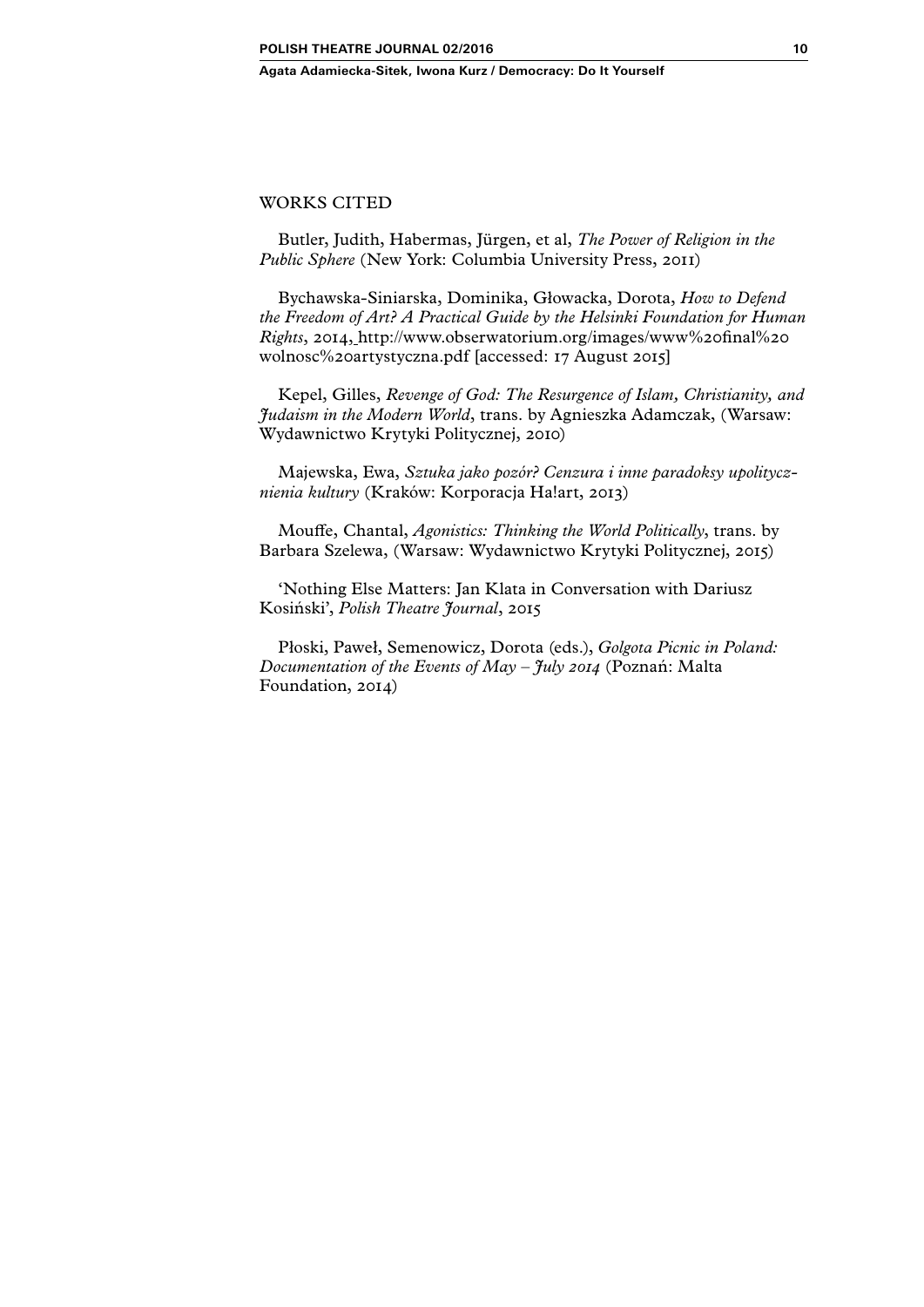## WORKS CITED

Butler, Judith, Habermas, Jürgen, et al, *The Power of Religion in the Public Sphere* (New York: Columbia University Press, 2011)

Bychawska-Siniarska, Dominika, Głowacka, Dorota, *How to Defend the Freedom of Art? A Practical Guide by the Helsinki Foundation for Human Rights*, 2014, [http://www.obserwatorium.org/images/www%20final%20]( http://www.obserwatorium.org/images/www final wolnosc artystyczna.pdf) [wolnosc%20artystyczna.pdf]( http://www.obserwatorium.org/images/www final wolnosc artystyczna.pdf) [accessed: 17 August 2015]

Kepel, Gilles, *Revenge of God: The Resurgence of Islam, Christianity, and Judaism in the Modern World*, trans. by Agnieszka Adamczak, (Warsaw: Wydawnictwo Krytyki Politycznej, 2010)

Majewska, Ewa, *Sztuka jako pozór? Cenzura i inne paradoksy upolitycznienia kultury* (Kraków: Korporacja Ha!art, 2013)

Mouffe, Chantal, *Agonistics: Thinking the World Politically*, trans. by Barbara Szelewa, (Warsaw: Wydawnictwo Krytyki Politycznej, 2015)

'Nothing Else Matters: Jan Klata in Conversation with Dariusz Kosiński', *Polish Theatre Journal*, 2015

Płoski, Paweł, Semenowicz, Dorota (eds.), *Golgota Picnic in Poland: Documentation of the Events of May – July 2014* (Poznań: Malta Foundation, 2014)